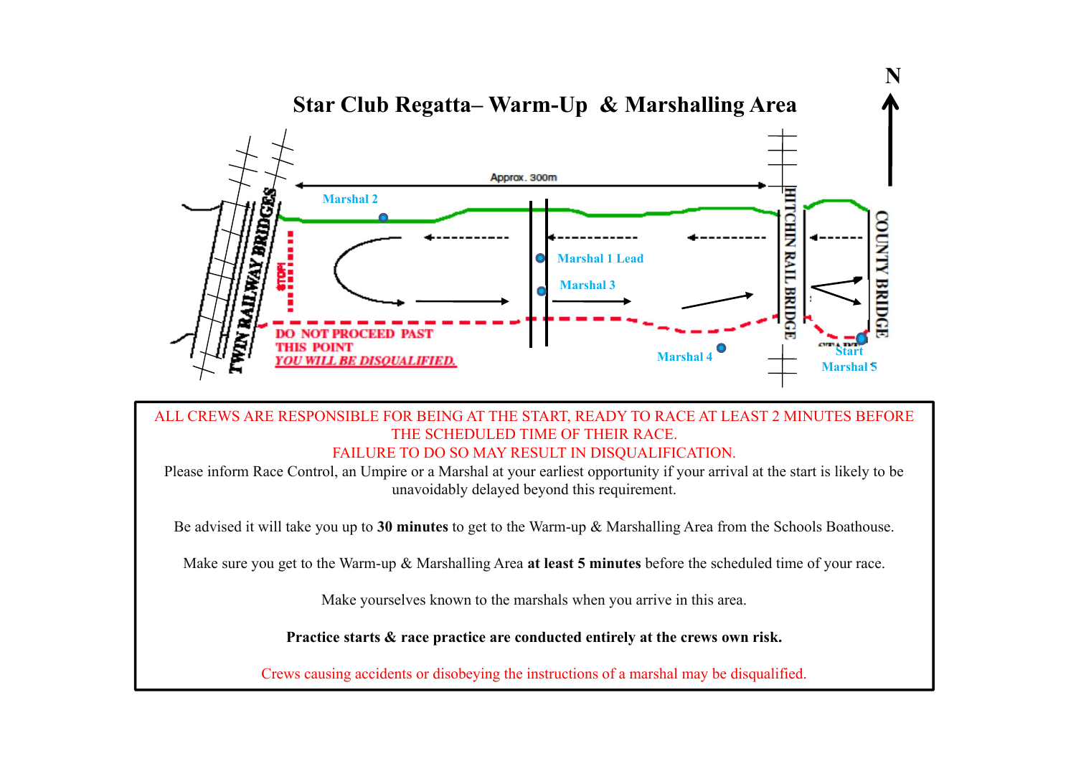

## ALL CREWS ARE RESPONSIBLE FOR BEING AT THE START, READY TO RACE AT LEAST 2 MINUTES BEFORE THE SCHEDULED TIME OF THEIR RACE. FAILURE TO DO SO MAY RESULT IN DISOUALIFICATION.

Please inform Race Control, an Umpire or a Marshal at your earliest opportunity if your arrival at the start is likely to be unavoidably delayed beyond this requirement.

Be advised it will take you up to **30 minutes** to get to the Warm-up & Marshalling Area from the Schools Boathouse.

Make sure you get to the Warm-up & Marshalling Area **at least 5 minutes** before the scheduled time of your race.

Make yourselves known to the marshals when you arrive in this area.

**Practice starts & race practice are conducted entirely at the crews own risk.**

Crews causing accidents or disobeying the instructions of a marshal may be disqualified.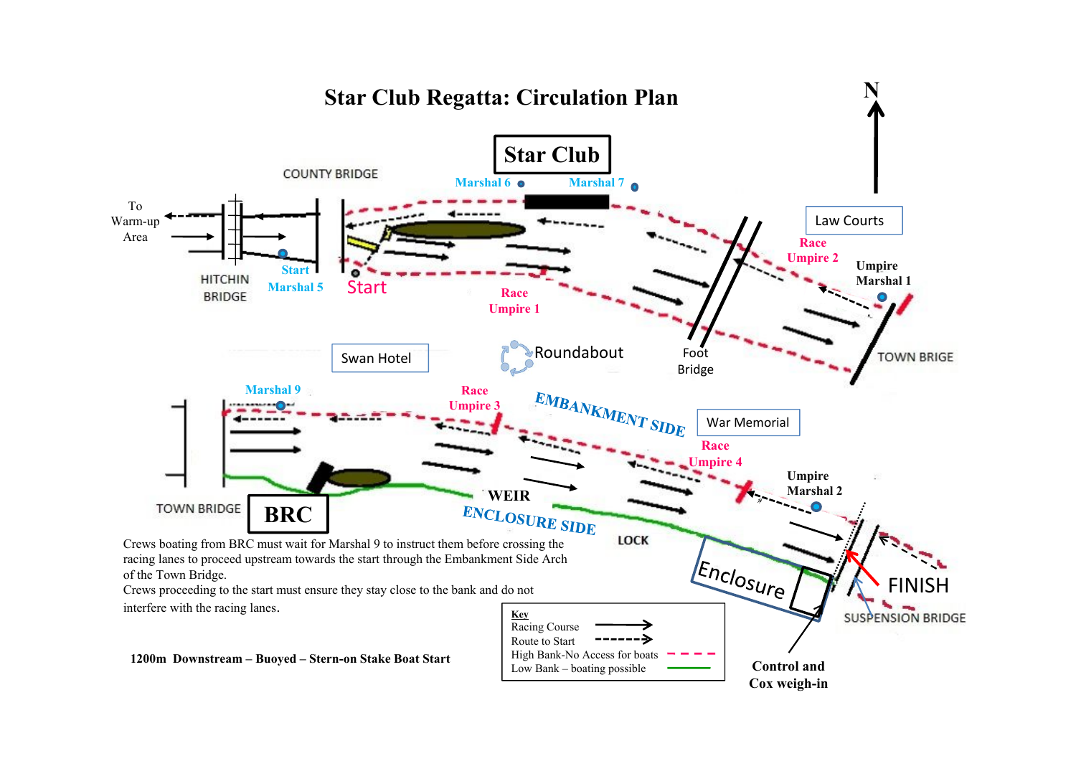